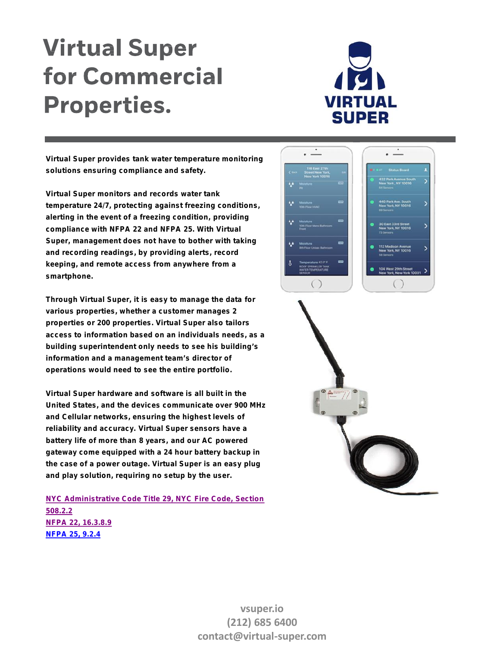## **Virtual Super for Commercial Properties.**



**Virtual Super provides tank water temperature monitoring solutions ensuring compliance and safety.**

**Virtual Super monitors and records water tank temperature 24/7, protecting against freezing conditions, alerting in the event of a freezing condition, providing compliance with NFPA 22 and NFPA 25. With Virtual Super, management does not have to bother with taking and recording readings, by providing alerts, record keeping, and remote access from anywhere from a smartphone.**

**Through Virtual Super, it is easy to manage the data for various properties, whether a customer manages 2 properties or 200 properties. Virtual Super also tailors access to information based on an individuals needs, as a building superintendent only needs to see his building's information and a management team's director of operations would need to see the entire portfolio.**

**Virtual Super hardware and software is all built in the United States, and the devices communicate over 900 MHz and Cellular networks, ensuring the highest levels of reliability and accuracy. Virtual Super sensors have a battery life of more than 8 years, and our AC powered gateway come equipped with a 24 hour battery backup in the case of a power outage. Virtual Super is an easy plug and play solution, requiring no setup by the user.**

*NYC Administrative Code Title 29, NYC Fire Code, Section 508.2.2 NFPA 22, 16.3.8.9 NFPA 25, 9.2.4*





**vsuper.io (212) 685 6400 contact@virtual-super.com**